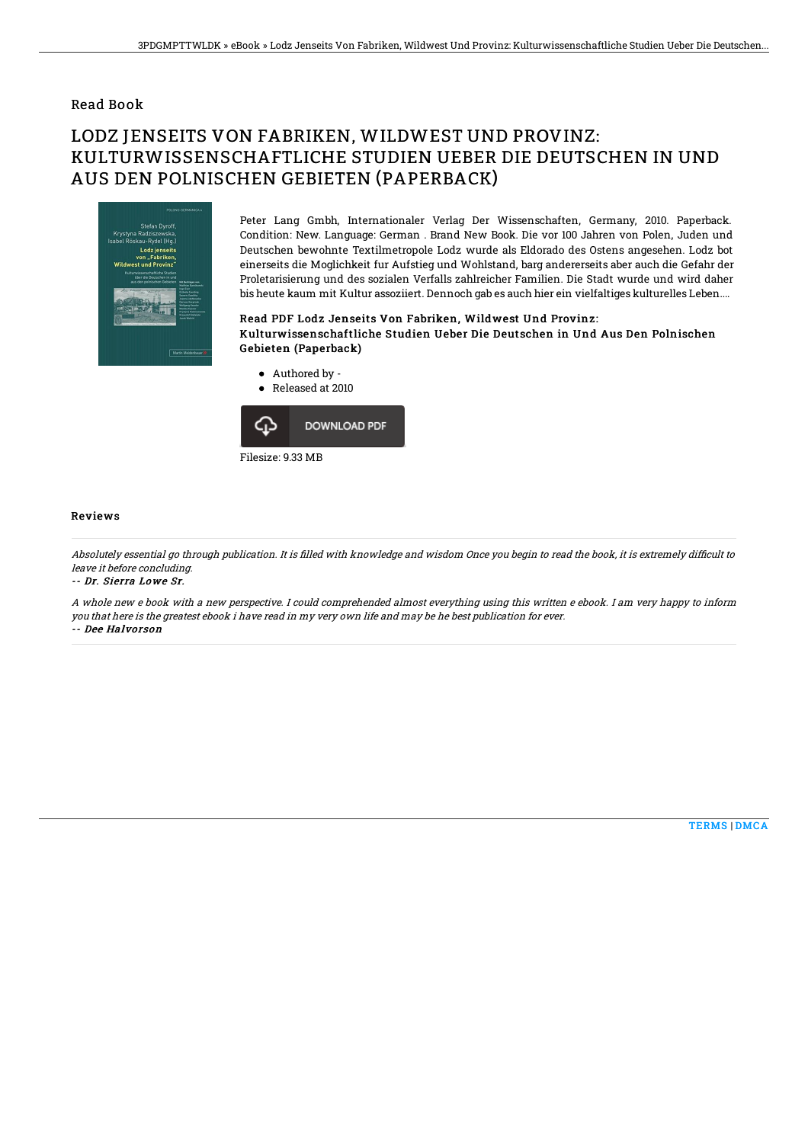### Read Book

# LODZ JENSEITS VON FABRIKEN, WILDWEST UND PROVINZ: KULTURWISSENSCHAFTLICHE STUDIEN UEBER DIE DEUTSCHEN IN UND AUS DEN POLNISCHEN GEBIETEN (PAPERBACK)



Peter Lang Gmbh, Internationaler Verlag Der Wissenschaften, Germany, 2010. Paperback. Condition: New. Language: German . Brand New Book. Die vor 100 Jahren von Polen, Juden und Deutschen bewohnte Textilmetropole Lodz wurde als Eldorado des Ostens angesehen. Lodz bot einerseits die Moglichkeit fur Aufstieg und Wohlstand, barg andererseits aber auch die Gefahr der Proletarisierung und des sozialen Verfalls zahlreicher Familien. Die Stadt wurde und wird daher bis heute kaum mit Kultur assoziiert. Dennoch gab es auch hier ein vielfaltiges kulturelles Leben....

### Read PDF Lodz Jenseits Von Fabriken, Wildwest Und Provinz: Kulturwissenschaftliche Studien Ueber Die Deutschen in Und Aus Den Polnischen Gebieten (Paperback)

- Authored by -
- Released at 2010  $\bullet$



#### Reviews

Absolutely essential go through publication. It is filled with knowledge and wisdom Once you begin to read the book, it is extremely difficult to leave it before concluding.

-- Dr. Sierra Lowe Sr.

A whole new <sup>e</sup> book with <sup>a</sup> new perspective. I could comprehended almost everything using this written <sup>e</sup> ebook. I am very happy to inform you that here is the greatest ebook i have read in my very own life and may be he best publication for ever. -- Dee Halvorson